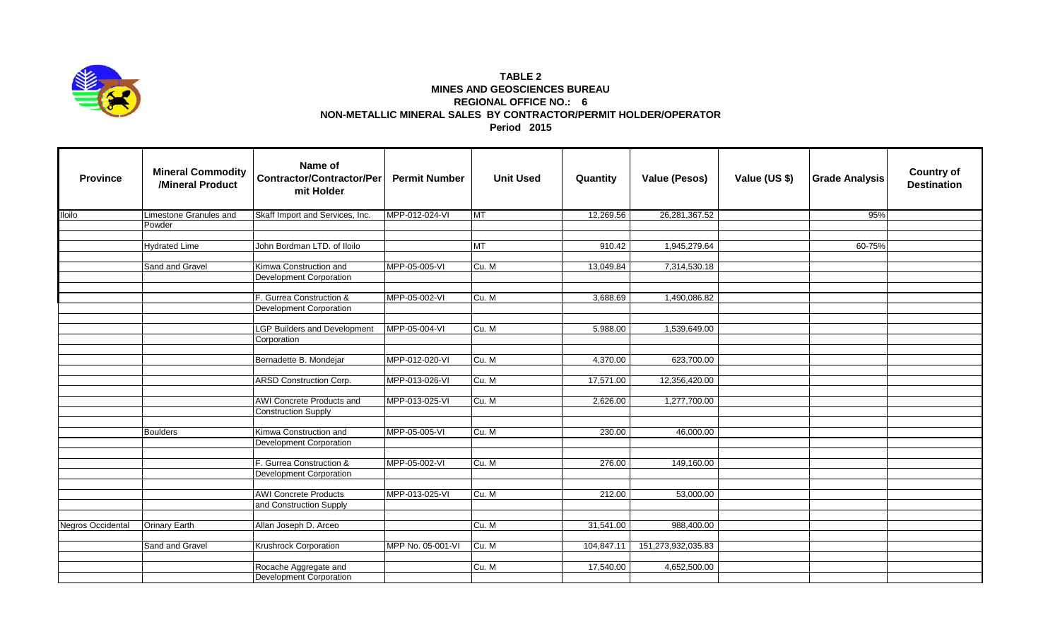

## **TABLE 2 MINES AND GEOSCIENCES BUREAU REGIONAL OFFICE NO.: 6 NON-METALLIC MINERAL SALES BY CONTRACTOR/PERMIT HOLDER/OPERATOR Period 2015**

| <b>Province</b>   | <b>Mineral Commodity</b><br>/Mineral Product | Name of<br><b>Contractor/Contractor/Per</b><br>mit Holder | <b>Permit Number</b> | <b>Unit Used</b> | Quantity   | <b>Value (Pesos)</b> | Value (US \$) | <b>Grade Analysis</b> | <b>Country of</b><br><b>Destination</b> |
|-------------------|----------------------------------------------|-----------------------------------------------------------|----------------------|------------------|------------|----------------------|---------------|-----------------------|-----------------------------------------|
| <b>Iloilo</b>     | Limestone Granules and                       | Skaff Import and Services, Inc.                           | MPP-012-024-VI       | <b>MT</b>        | 12,269.56  | 26,281,367.52        |               | 95%                   |                                         |
|                   | Powder                                       |                                                           |                      |                  |            |                      |               |                       |                                         |
|                   |                                              |                                                           |                      |                  |            |                      |               |                       |                                         |
|                   | <b>Hydrated Lime</b>                         | John Bordman LTD. of Iloilo                               |                      | <b>TM</b>        | 910.42     | 1,945,279.64         |               | 60-75%                |                                         |
|                   | Sand and Gravel                              | Kimwa Construction and                                    | MPP-05-005-VI        | Cu. M            | 13,049.84  | 7,314,530.18         |               |                       |                                         |
|                   |                                              | <b>Development Corporation</b>                            |                      |                  |            |                      |               |                       |                                         |
|                   |                                              |                                                           |                      |                  |            |                      |               |                       |                                         |
|                   |                                              | F. Gurrea Construction &                                  | MPP-05-002-VI        | Cu. M            | 3,688.69   | 1,490,086.82         |               |                       |                                         |
|                   |                                              | <b>Development Corporation</b>                            |                      |                  |            |                      |               |                       |                                         |
|                   |                                              |                                                           |                      |                  |            |                      |               |                       |                                         |
|                   |                                              | <b>LGP Builders and Development</b>                       | MPP-05-004-VI        | Cu. M            | 5,988.00   | 1,539,649.00         |               |                       |                                         |
|                   |                                              | Corporation                                               |                      |                  |            |                      |               |                       |                                         |
|                   |                                              | Bernadette B. Mondejar                                    | MPP-012-020-VI       | Cu. M            | 4,370.00   | 623,700.00           |               |                       |                                         |
|                   |                                              |                                                           |                      |                  |            |                      |               |                       |                                         |
|                   |                                              | <b>ARSD Construction Corp.</b>                            | MPP-013-026-VI       | Cu. M            | 17,571.00  | 12,356,420.00        |               |                       |                                         |
|                   |                                              |                                                           |                      |                  |            |                      |               |                       |                                         |
|                   |                                              | <b>AWI</b> Concrete Products and                          | MPP-013-025-VI       | Cu. M            | 2,626.00   | 1,277,700.00         |               |                       |                                         |
|                   |                                              | <b>Construction Supply</b>                                |                      |                  |            |                      |               |                       |                                         |
|                   |                                              |                                                           |                      |                  |            |                      |               |                       |                                         |
|                   | <b>Boulders</b>                              | Kimwa Construction and                                    | MPP-05-005-VI        | Cu. M            | 230.00     | 46,000.00            |               |                       |                                         |
|                   |                                              | <b>Development Corporation</b>                            |                      |                  |            |                      |               |                       |                                         |
|                   |                                              | F. Gurrea Construction &                                  | MPP-05-002-VI        | Cu. M            | 276.00     | 149,160.00           |               |                       |                                         |
|                   |                                              | Development Corporation                                   |                      |                  |            |                      |               |                       |                                         |
|                   |                                              |                                                           |                      |                  |            |                      |               |                       |                                         |
|                   |                                              | <b>AWI Concrete Products</b>                              | MPP-013-025-VI       | Cu. M            | 212.00     | 53,000.00            |               |                       |                                         |
|                   |                                              | and Construction Supply                                   |                      |                  |            |                      |               |                       |                                         |
|                   |                                              |                                                           |                      |                  |            |                      |               |                       |                                         |
| Negros Occidental | Orinary Earth                                | Allan Joseph D. Arceo                                     |                      | Cu. M            | 31,541.00  | 988,400.00           |               |                       |                                         |
|                   |                                              |                                                           |                      |                  |            |                      |               |                       |                                         |
|                   | Sand and Gravel                              | Krushrock Corporation                                     | MPP No. 05-001-VI    | Cu. M            | 104,847.11 | 151,273,932,035.83   |               |                       |                                         |
|                   |                                              |                                                           |                      |                  |            |                      |               |                       |                                         |
|                   |                                              | Rocache Aggregate and                                     |                      | Cu. M            | 17,540.00  | 4,652,500.00         |               |                       |                                         |
|                   |                                              | Development Corporation                                   |                      |                  |            |                      |               |                       |                                         |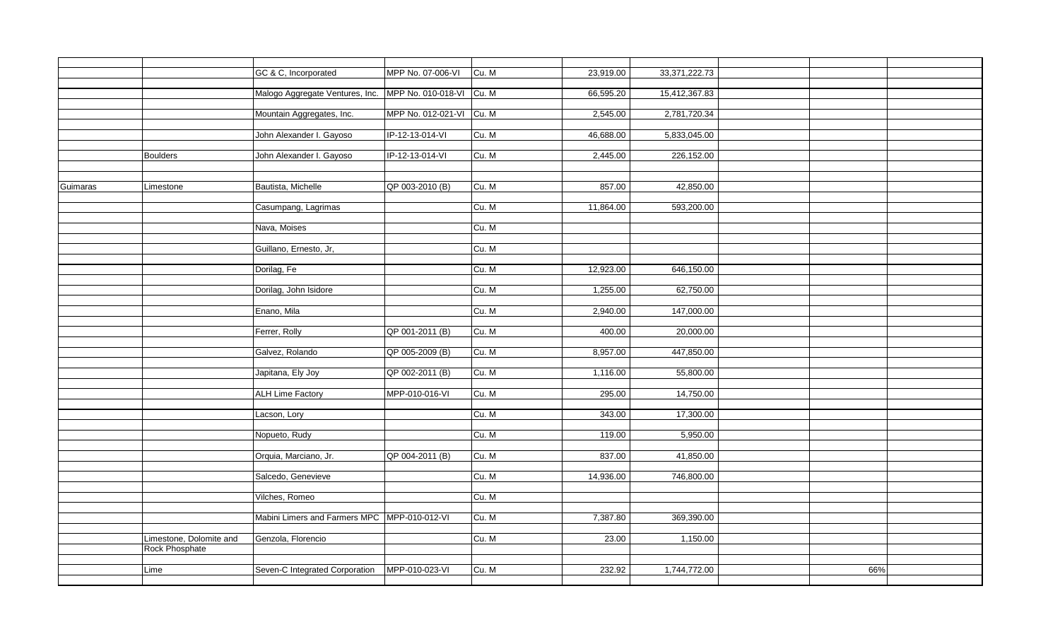|          |                                           | GC & C, Incorporated                                     | MPP No. 07-006-VI        | Cu. M | 23,919.00 | 33,371,222.73 |     |  |
|----------|-------------------------------------------|----------------------------------------------------------|--------------------------|-------|-----------|---------------|-----|--|
|          |                                           | Malogo Aggregate Ventures, Inc. MPP No. 010-018-VI Cu. M |                          |       | 66,595.20 | 15,412,367.83 |     |  |
|          |                                           |                                                          |                          |       |           |               |     |  |
|          |                                           | Mountain Aggregates, Inc.                                | MPP No. 012-021-VI Cu. M |       | 2,545.00  | 2,781,720.34  |     |  |
|          |                                           | John Alexander I. Gayoso                                 | IP-12-13-014-VI          | Cu. M | 46,688.00 | 5,833,045.00  |     |  |
|          |                                           |                                                          |                          |       |           |               |     |  |
|          | <b>Boulders</b>                           | John Alexander I. Gayoso                                 | IP-12-13-014-VI          | Cu. M | 2,445.00  | 226,152.00    |     |  |
|          |                                           |                                                          |                          |       |           |               |     |  |
| Guimaras | Limestone                                 | Bautista, Michelle                                       | QP 003-2010 (B)          | Cu. M | 857.00    | 42,850.00     |     |  |
|          |                                           | Casumpang, Lagrimas                                      |                          | Cu. M | 11,864.00 | 593,200.00    |     |  |
|          |                                           |                                                          |                          |       |           |               |     |  |
|          |                                           | Nava, Moises                                             |                          | Cu. M |           |               |     |  |
|          |                                           | Guillano, Ernesto, Jr,                                   |                          | Cu. M |           |               |     |  |
|          |                                           |                                                          |                          |       |           |               |     |  |
|          |                                           | Dorilag, Fe                                              |                          | Cu. M | 12,923.00 | 646,150.00    |     |  |
|          |                                           | Dorilag, John Isidore                                    |                          | Cu. M | 1,255.00  | 62,750.00     |     |  |
|          |                                           |                                                          |                          |       |           |               |     |  |
|          |                                           | Enano, Mila                                              |                          | Cu. M | 2,940.00  | 147,000.00    |     |  |
|          |                                           | Ferrer, Rolly                                            | QP 001-2011 (B)          | Cu. M | 400.00    | 20,000.00     |     |  |
|          |                                           |                                                          |                          |       |           |               |     |  |
|          |                                           | Galvez, Rolando                                          | QP 005-2009 (B)          | Cu. M | 8,957.00  | 447,850.00    |     |  |
|          |                                           | Japitana, Ely Joy                                        | QP 002-2011 (B)          | Cu. M | 1,116.00  | 55,800.00     |     |  |
|          |                                           |                                                          |                          |       |           |               |     |  |
|          |                                           | <b>ALH Lime Factory</b>                                  | MPP-010-016-VI           | Cu. M | 295.00    | 14,750.00     |     |  |
|          |                                           | Lacson, Lory                                             |                          | Cu. M | 343.00    | 17,300.00     |     |  |
|          |                                           |                                                          |                          |       |           |               |     |  |
|          |                                           | Nopueto, Rudy                                            |                          | Cu. M | 119.00    | 5,950.00      |     |  |
|          |                                           |                                                          |                          |       | 837.00    |               |     |  |
|          |                                           | Orquia, Marciano, Jr.                                    | QP 004-2011 (B)          | Cu. M |           | 41,850.00     |     |  |
|          |                                           | Salcedo, Genevieve                                       |                          | Cu. M | 14,936.00 | 746,800.00    |     |  |
|          |                                           |                                                          |                          |       |           |               |     |  |
|          |                                           | Vilches, Romeo                                           |                          | Cu. M |           |               |     |  |
|          |                                           | Mabini Limers and Farmers MPC MPP-010-012-VI             |                          | Cu. M | 7,387.80  | 369,390.00    |     |  |
|          |                                           |                                                          |                          |       |           |               |     |  |
|          | Limestone, Dolomite and<br>Rock Phosphate | Genzola, Florencio                                       |                          | Cu. M | 23.00     | 1,150.00      |     |  |
|          |                                           |                                                          |                          |       |           |               |     |  |
|          | Lime                                      | Seven-C Integrated Corporation                           | MPP-010-023-VI           | Cu. M | 232.92    | 1,744,772.00  | 66% |  |
|          |                                           |                                                          |                          |       |           |               |     |  |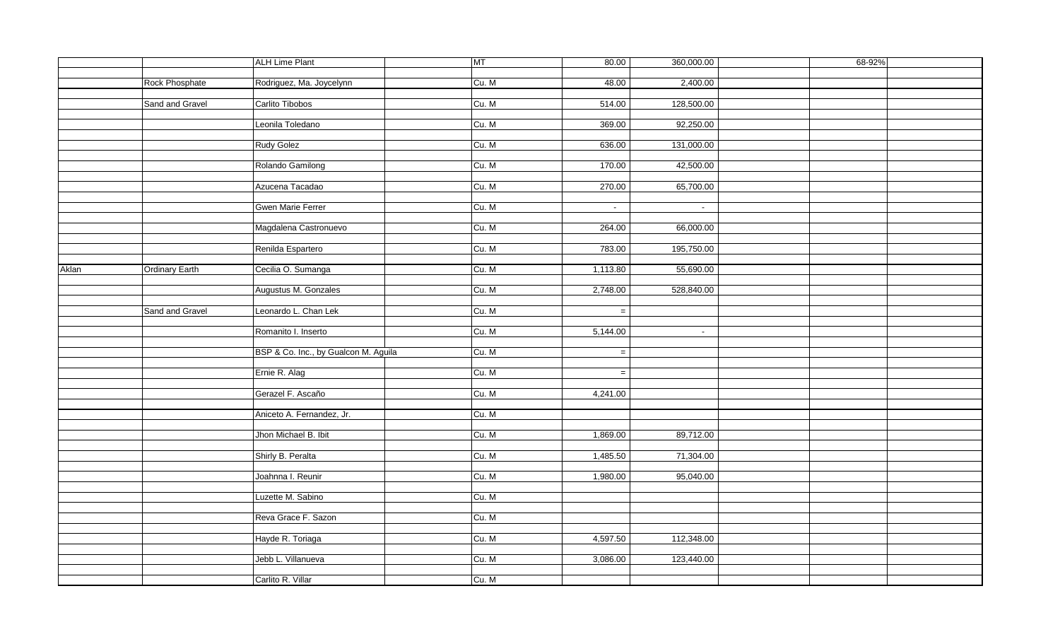|       |                 | <b>ALH Lime Plant</b>                | MT    | 80.00    | 360,000.00 | 68-92% |
|-------|-----------------|--------------------------------------|-------|----------|------------|--------|
|       |                 |                                      |       |          |            |        |
|       | Rock Phosphate  | Rodriguez, Ma. Joycelynn             | Cu. M | 48.00    | 2,400.00   |        |
|       |                 |                                      |       |          |            |        |
|       | Sand and Gravel | Carlito Tibobos                      | Cu. M | 514.00   | 128,500.00 |        |
|       |                 |                                      |       |          |            |        |
|       |                 | Leonila Toledano                     | Cu. M | 369.00   | 92,250.00  |        |
|       |                 |                                      |       |          |            |        |
|       |                 | Rudy Golez                           | Cu. M | 636.00   | 131,000.00 |        |
|       |                 |                                      |       |          |            |        |
|       |                 | Rolando Gamilong                     | Cu. M | 170.00   | 42,500.00  |        |
|       |                 |                                      |       |          |            |        |
|       |                 | Azucena Tacadao                      | Cu. M | 270.00   | 65,700.00  |        |
|       |                 |                                      |       |          |            |        |
|       |                 | Gwen Marie Ferrer                    | Cu. M | $\omega$ | $\sim$     |        |
|       |                 |                                      |       |          |            |        |
|       |                 | Magdalena Castronuevo                | Cu. M | 264.00   | 66,000.00  |        |
|       |                 |                                      |       |          |            |        |
|       |                 | Renilda Espartero                    | Cu. M | 783.00   | 195,750.00 |        |
|       |                 |                                      |       |          |            |        |
| Aklan | Ordinary Earth  | Cecilia O. Sumanga                   | Cu. M | 1,113.80 | 55,690.00  |        |
|       |                 |                                      |       |          |            |        |
|       |                 | Augustus M. Gonzales                 | Cu. M | 2,748.00 | 528,840.00 |        |
|       |                 |                                      |       |          |            |        |
|       | Sand and Gravel | Leonardo L. Chan Lek                 | Cu. M | $=$      |            |        |
|       |                 |                                      |       |          |            |        |
|       |                 | Romanito I. Inserto                  | Cu. M | 5,144.00 | $\sim$     |        |
|       |                 |                                      |       |          |            |        |
|       |                 | BSP & Co. Inc., by Gualcon M. Aguila | Cu. M | $\equiv$ |            |        |
|       |                 |                                      |       |          |            |        |
|       |                 | Ernie R. Alag                        | Cu. M | $=$      |            |        |
|       |                 |                                      |       |          |            |        |
|       |                 | Gerazel F. Ascaño                    | Cu. M | 4,241.00 |            |        |
|       |                 |                                      |       |          |            |        |
|       |                 | Aniceto A. Fernandez, Jr.            | Cu. M |          |            |        |
|       |                 |                                      |       |          |            |        |
|       |                 | Jhon Michael B. Ibit                 | Cu. M | 1,869.00 | 89,712.00  |        |
|       |                 |                                      |       |          |            |        |
|       |                 | Shirly B. Peralta                    | Cu. M | 1,485.50 | 71,304.00  |        |
|       |                 |                                      |       |          |            |        |
|       |                 | Joahnna I. Reunir                    | Cu. M | 1,980.00 | 95,040.00  |        |
|       |                 |                                      |       |          |            |        |
|       |                 | Luzette M. Sabino                    | Cu. M |          |            |        |
|       |                 |                                      |       |          |            |        |
|       |                 | Reva Grace F. Sazon                  | Cu. M |          |            |        |
|       |                 |                                      |       |          |            |        |
|       |                 | Hayde R. Toriaga                     | Cu. M | 4,597.50 | 112,348.00 |        |
|       |                 |                                      |       |          |            |        |
|       |                 |                                      | Cu. M |          |            |        |
|       |                 | Jebb L. Villanueva                   |       | 3,086.00 | 123,440.00 |        |
|       |                 |                                      |       |          |            |        |
|       |                 | Carlito R. Villar                    | Cu. M |          |            |        |